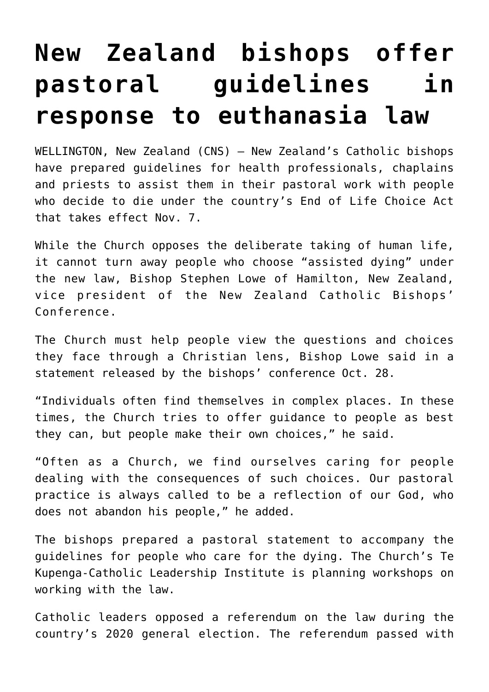## **[New Zealand bishops offer](https://www.osvnews.com/2021/11/01/new-zealand-bishops-offer-pastoral-guidelines-in-response-to-euthanasia-law/) [pastoral guidelines in](https://www.osvnews.com/2021/11/01/new-zealand-bishops-offer-pastoral-guidelines-in-response-to-euthanasia-law/) [response to euthanasia law](https://www.osvnews.com/2021/11/01/new-zealand-bishops-offer-pastoral-guidelines-in-response-to-euthanasia-law/)**

WELLINGTON, New Zealand (CNS) — New Zealand's Catholic bishops have prepared guidelines for health professionals, chaplains and priests to assist them in their pastoral work with people who decide to die under the country's End of Life Choice Act that takes effect Nov. 7.

While the Church opposes the deliberate taking of human life, it cannot turn away people who choose "assisted dying" under the new law, Bishop Stephen Lowe of Hamilton, New Zealand, vice president of the New Zealand Catholic Bishops' Conference.

The Church must help people view the questions and choices they face through a Christian lens, Bishop Lowe said in a statement released by the bishops' conference Oct. 28.

"Individuals often find themselves in complex places. In these times, the Church tries to offer guidance to people as best they can, but people make their own choices," he said.

"Often as a Church, we find ourselves caring for people dealing with the consequences of such choices. Our pastoral practice is always called to be a reflection of our God, who does not abandon his people," he added.

The bishops prepared a pastoral statement to accompany the guidelines for people who care for the dying. The Church's Te Kupenga-Catholic Leadership Institute is planning workshops on working with the law.

Catholic leaders opposed a referendum on the law during the country's 2020 general election. The referendum passed with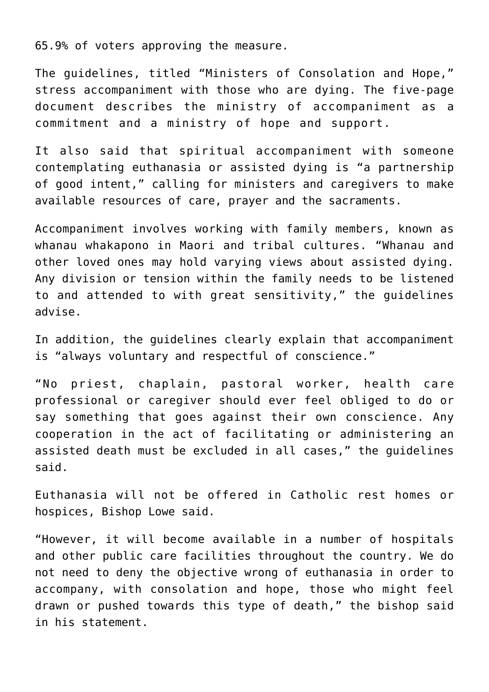65.9% of voters approving the measure.

The guidelines, titled "Ministers of Consolation and Hope," stress accompaniment with those who are dying. The five-page document describes the ministry of accompaniment as a commitment and a ministry of hope and support.

It also said that spiritual accompaniment with someone contemplating euthanasia or assisted dying is "a partnership of good intent," calling for ministers and caregivers to make available resources of care, prayer and the sacraments.

Accompaniment involves working with family members, known as whanau whakapono in Maori and tribal cultures. "Whanau and other loved ones may hold varying views about assisted dying. Any division or tension within the family needs to be listened to and attended to with great sensitivity," the guidelines advise.

In addition, the guidelines clearly explain that accompaniment is "always voluntary and respectful of conscience."

"No priest, chaplain, pastoral worker, health care professional or caregiver should ever feel obliged to do or say something that goes against their own conscience. Any cooperation in the act of facilitating or administering an assisted death must be excluded in all cases," the guidelines said.

Euthanasia will not be offered in Catholic rest homes or hospices, Bishop Lowe said.

"However, it will become available in a number of hospitals and other public care facilities throughout the country. We do not need to deny the objective wrong of euthanasia in order to accompany, with consolation and hope, those who might feel drawn or pushed towards this type of death," the bishop said in his statement.